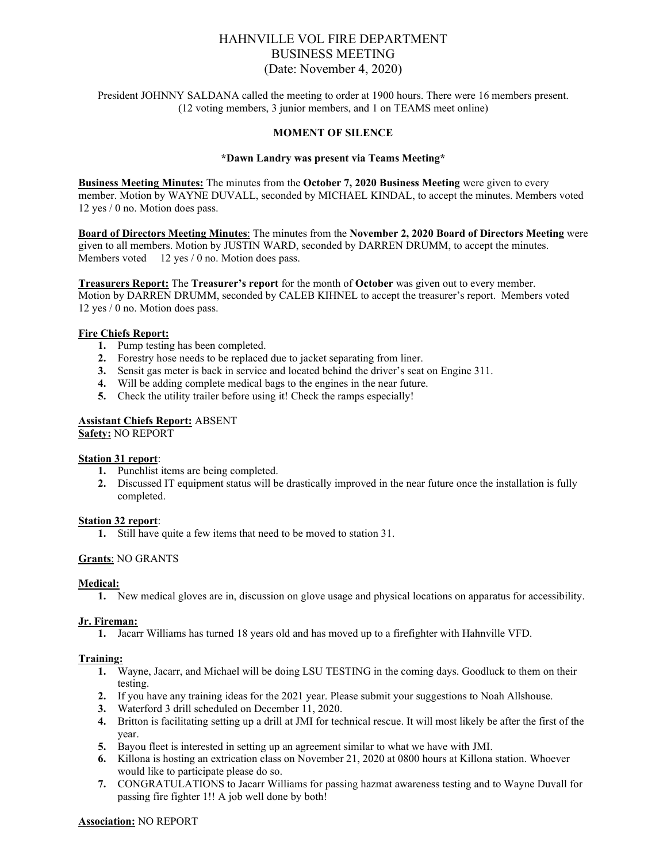# HAHNVILLE VOL FIRE DEPARTMENT BUSINESS MEETING (Date: November 4, 2020)

President JOHNNY SALDANA called the meeting to order at 1900 hours. There were 16 members present. (12 voting members, 3 junior members, and 1 on TEAMS meet online)

### **MOMENT OF SILENCE**

#### **\*Dawn Landry was present via Teams Meeting\***

**Business Meeting Minutes:** The minutes from the **October 7, 2020 Business Meeting** were given to every member. Motion by WAYNE DUVALL, seconded by MICHAEL KINDAL, to accept the minutes. Members voted 12 yes / 0 no. Motion does pass.

**Board of Directors Meeting Minutes**: The minutes from the **November 2, 2020 Board of Directors Meeting** were given to all members. Motion by JUSTIN WARD, seconded by DARREN DRUMM, to accept the minutes. Members voted 12 yes / 0 no. Motion does pass.

**Treasurers Report:** The **Treasurer's report** for the month of **October** was given out to every member. Motion by DARREN DRUMM, seconded by CALEB KIHNEL to accept the treasurer's report. Members voted 12 yes / 0 no. Motion does pass.

#### **Fire Chiefs Report:**

- **1.** Pump testing has been completed.
- **2.** Forestry hose needs to be replaced due to jacket separating from liner.
- **3.** Sensit gas meter is back in service and located behind the driver's seat on Engine 311.
- **4.** Will be adding complete medical bags to the engines in the near future.
- **5.** Check the utility trailer before using it! Check the ramps especially!

# **Assistant Chiefs Report:** ABSENT

**Safety:** NO REPORT

#### **Station 31 report**:

- **1.** Punchlist items are being completed.
- **2.** Discussed IT equipment status will be drastically improved in the near future once the installation is fully completed.

#### **Station 32 report**:

**1.** Still have quite a few items that need to be moved to station 31.

# **Grants**: NO GRANTS

#### **Medical:**

**1.** New medical gloves are in, discussion on glove usage and physical locations on apparatus for accessibility.

#### **Jr. Fireman:**

**1.** Jacarr Williams has turned 18 years old and has moved up to a firefighter with Hahnville VFD.

#### **Training:**

- **1.** Wayne, Jacarr, and Michael will be doing LSU TESTING in the coming days. Goodluck to them on their testing.
- **2.** If you have any training ideas for the 2021 year. Please submit your suggestions to Noah Allshouse.
- **3.** Waterford 3 drill scheduled on December 11, 2020.
- **4.** Britton is facilitating setting up a drill at JMI for technical rescue. It will most likely be after the first of the year.
- **5.** Bayou fleet is interested in setting up an agreement similar to what we have with JMI.
- **6.** Killona is hosting an extrication class on November 21, 2020 at 0800 hours at Killona station. Whoever would like to participate please do so.
- **7.** CONGRATULATIONS to Jacarr Williams for passing hazmat awareness testing and to Wayne Duvall for passing fire fighter 1!! A job well done by both!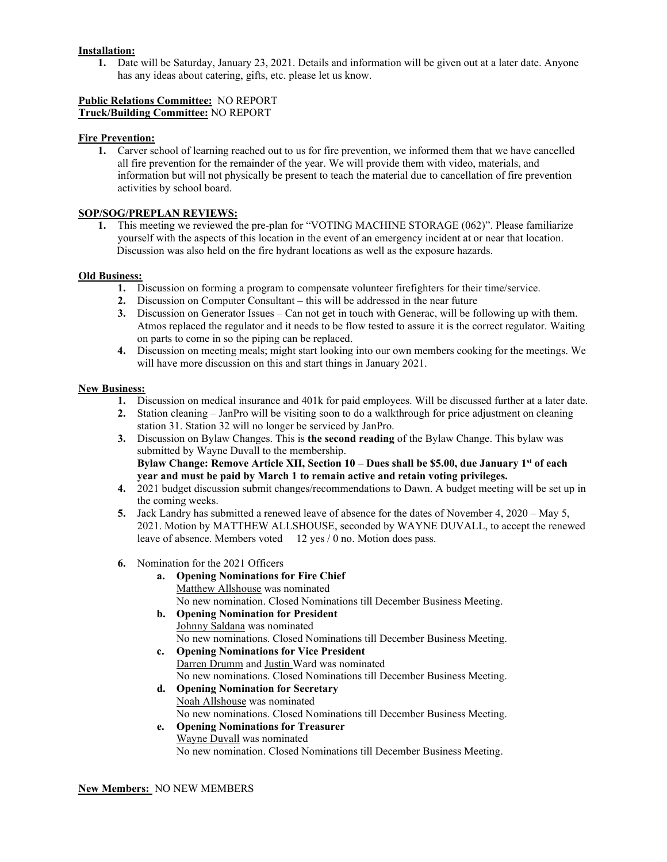# **Installation:**

**1.** Date will be Saturday, January 23, 2021. Details and information will be given out at a later date. Anyone has any ideas about catering, gifts, etc. please let us know.

# **Public Relations Committee:** NO REPORT **Truck/Building Committee:** NO REPORT

### **Fire Prevention:**

**1.** Carver school of learning reached out to us for fire prevention, we informed them that we have cancelled all fire prevention for the remainder of the year. We will provide them with video, materials, and information but will not physically be present to teach the material due to cancellation of fire prevention activities by school board.

# **SOP/SOG/PREPLAN REVIEWS:**

**1.** This meeting we reviewed the pre-plan for "VOTING MACHINE STORAGE (062)". Please familiarize yourself with the aspects of this location in the event of an emergency incident at or near that location. Discussion was also held on the fire hydrant locations as well as the exposure hazards.

### **Old Business:**

- **1.** Discussion on forming a program to compensate volunteer firefighters for their time/service.
- **2.** Discussion on Computer Consultant this will be addressed in the near future
- **3.** Discussion on Generator Issues Can not get in touch with Generac, will be following up with them. Atmos replaced the regulator and it needs to be flow tested to assure it is the correct regulator. Waiting on parts to come in so the piping can be replaced.
- **4.** Discussion on meeting meals; might start looking into our own members cooking for the meetings. We will have more discussion on this and start things in January 2021.

### **New Business:**

- **1.** Discussion on medical insurance and 401k for paid employees. Will be discussed further at a later date.
- **2.** Station cleaning JanPro will be visiting soon to do a walkthrough for price adjustment on cleaning station 31. Station 32 will no longer be serviced by JanPro.
- **3.** Discussion on Bylaw Changes. This is **the second reading** of the Bylaw Change. This bylaw was submitted by Wayne Duvall to the membership. **Bylaw Change: Remove Article XII, Section 10 – Dues shall be \$5.00, due January 1st of each year and must be paid by March 1 to remain active and retain voting privileges.**
- **4.** 2021 budget discussion submit changes/recommendations to Dawn. A budget meeting will be set up in the coming weeks.
- **5.** Jack Landry has submitted a renewed leave of absence for the dates of November 4, 2020 May 5, 2021. Motion by MATTHEW ALLSHOUSE, seconded by WAYNE DUVALL, to accept the renewed leave of absence. Members voted 12 yes / 0 no. Motion does pass.
- **6.** Nomination for the 2021 Officers
	- **a. Opening Nominations for Fire Chief** Matthew Allshouse was nominated No new nomination. Closed Nominations till December Business Meeting.
	- **b. Opening Nomination for President** Johnny Saldana was nominated No new nominations. Closed Nominations till December Business Meeting.
	- **c. Opening Nominations for Vice President** Darren Drumm and Justin Ward was nominated No new nominations. Closed Nominations till December Business Meeting.
	- **d. Opening Nomination for Secretary** Noah Allshouse was nominated No new nominations. Closed Nominations till December Business Meeting.
	- **e. Opening Nominations for Treasurer** Wayne Duvall was nominated No new nomination. Closed Nominations till December Business Meeting.